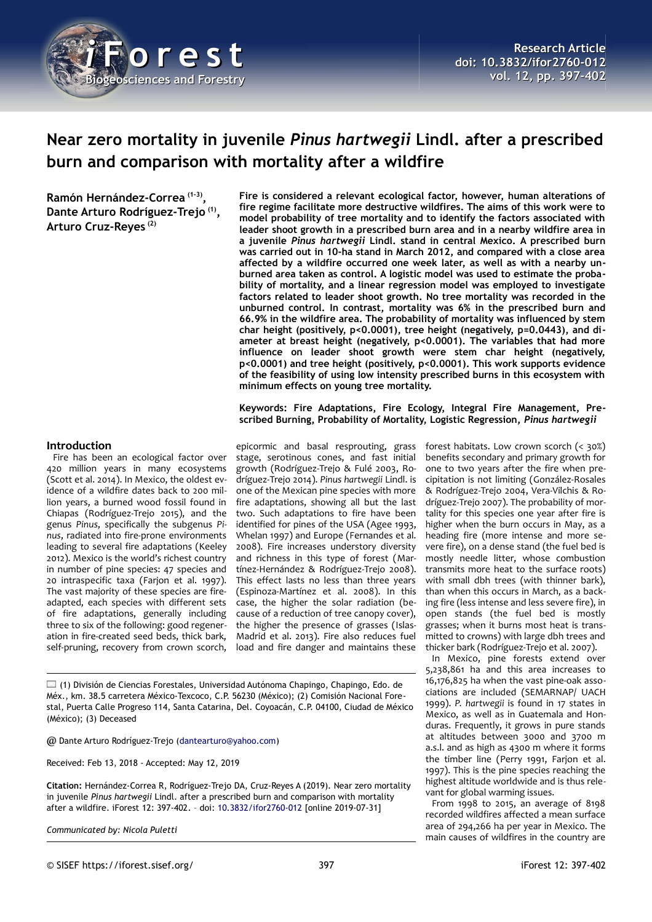

# **Near zero mortality in juvenile** *Pinus hartwegii* **Lindl. after a prescribed burn and comparison with mortality after a wildfire**

**Ramón Hernández-Correa (1-3) , Dante Arturo Rodríguez-Trejo (1) , Arturo Cruz-Reyes (2)**

**Fire is considered a relevant ecological factor, however, human alterations of fire regime facilitate more destructive wildfires. The aims of this work were to model probability of tree mortality and to identify the factors associated with leader shoot growth in a prescribed burn area and in a nearby wildfire area in a juvenile** *Pinus hartwegii* **Lindl. stand in central Mexico. A prescribed burn was carried out in 10-ha stand in March 2012, and compared with a close area affected by a wildfire occurred one week later, as well as with a nearby unburned area taken as control. A logistic model was used to estimate the probability of mortality, and a linear regression model was employed to investigate factors related to leader shoot growth. No tree mortality was recorded in the unburned control. In contrast, mortality was 6% in the prescribed burn and 66.9% in the wildfire area. The probability of mortality was influenced by stem char height (positively, p<0.0001), tree height (negatively, p=0.0443), and diameter at breast height (negatively, p<0.0001). The variables that had more influence on leader shoot growth were stem char height (negatively, p<0.0001) and tree height (positively, p<0.0001). This work supports evidence of the feasibility of using low intensity prescribed burns in this ecosystem with minimum effects on young tree mortality.**

**Keywords: Fire Adaptations, Fire Ecology, Integral Fire Management, Prescribed Burning, Probability of Mortality, Logistic Regression,** *Pinus hartwegii*

#### **Introduction**

Fire has been an ecological factor over 420 million years in many ecosystems (Scott et al. 2014). In Mexico, the oldest evidence of a wildfire dates back to 200 million years, a burned wood fossil found in Chiapas (Rodríguez-Trejo 2015), and the genus *Pinus*, specifically the subgenus *Pinus*, radiated into fire-prone environments leading to several fire adaptations (Keeley 2012). Mexico is the world's richest country in number of pine species: 47 species and 20 intraspecific taxa (Farjon et al. 1997). The vast majority of these species are fireadapted, each species with different sets of fire adaptations, generally including three to six of the following: good regeneration in fire-created seed beds, thick bark, self-pruning, recovery from crown scorch,

epicormic and basal resprouting, grass stage, serotinous cones, and fast initial growth (Rodríguez-Trejo & Fulé 2003, Rodríguez-Trejo 2014). *Pinus hartwegii* Lindl. is one of the Mexican pine species with more fire adaptations, showing all but the last two. Such adaptations to fire have been identified for pines of the USA (Agee 1993, Whelan 1997) and Europe (Fernandes et al. 2008). Fire increases understory diversity and richness in this type of forest (Martínez-Hernández & Rodríguez-Trejo 2008). This effect lasts no less than three years (Espinoza-Martínez et al. 2008). In this case, the higher the solar radiation (because of a reduction of tree canopy cover), the higher the presence of grasses (Islas-Madrid et al. 2013). Fire also reduces fuel load and fire danger and maintains these

(1) División de Ciencias Forestales, Universidad Autónoma Chapingo, Chapingo, Edo. de Méx., km. 38.5 carretera México-Texcoco, C.P. 56230 (México); (2) Comisión Nacional Forestal, Puerta Calle Progreso 114, Santa Catarina, Del. Coyoacán, C.P. 04100, Ciudad de México (México); (3) Deceased

@ Dante Arturo Rodríguez-Trejo [\(dantearturo@yahoo.com\)](mailto:dantearturo@yahoo.com)

Received: Feb 13, 2018 - Accepted: May 12, 2019

**Citation:** Hernández-Correa R, Rodríguez-Trejo DA, Cruz-Reyes A (2019). Near zero mortality in juvenile *Pinus hartwegii* Lindl. after a prescribed burn and comparison with mortality after a wildfire. iForest 12: 397-402. – doi: [10.3832/ifor2760-012](http://www.sisef.it/iforest/contents/?id=ifor2760-012) [online 2019-07-31]

*Communicated by: Nicola Puletti*

forest habitats. Low crown scorch (< 30%) benefits secondary and primary growth for one to two years after the fire when precipitation is not limiting (González-Rosales & Rodríguez-Trejo 2004, Vera-Vilchis & Rodríguez-Trejo 2007). The probability of mortality for this species one year after fire is higher when the burn occurs in May, as a heading fire (more intense and more severe fire), on a dense stand (the fuel bed is mostly needle litter, whose combustion transmits more heat to the surface roots) with small dbh trees (with thinner bark), than when this occurs in March, as a backing fire (less intense and less severe fire), in open stands (the fuel bed is mostly grasses; when it burns most heat is transmitted to crowns) with large dbh trees and thicker bark (Rodríguez-Trejo et al. 2007).

In Mexico, pine forests extend over 5,238,861 ha and this area increases to 16,176,825 ha when the vast pine-oak associations are included (SEMARNAP/ UACH 1999). *P. hartwegii* is found in 17 states in Mexico, as well as in Guatemala and Honduras. Frequently, it grows in pure stands at altitudes between 3000 and 3700 m a.s.l. and as high as 4300 m where it forms the timber line (Perry 1991, Farjon et al. 1997). This is the pine species reaching the highest altitude worldwide and is thus relevant for global warming issues.

From 1998 to 2015, an average of 8198 recorded wildfires affected a mean surface area of 294,266 ha per year in Mexico. The main causes of wildfires in the country are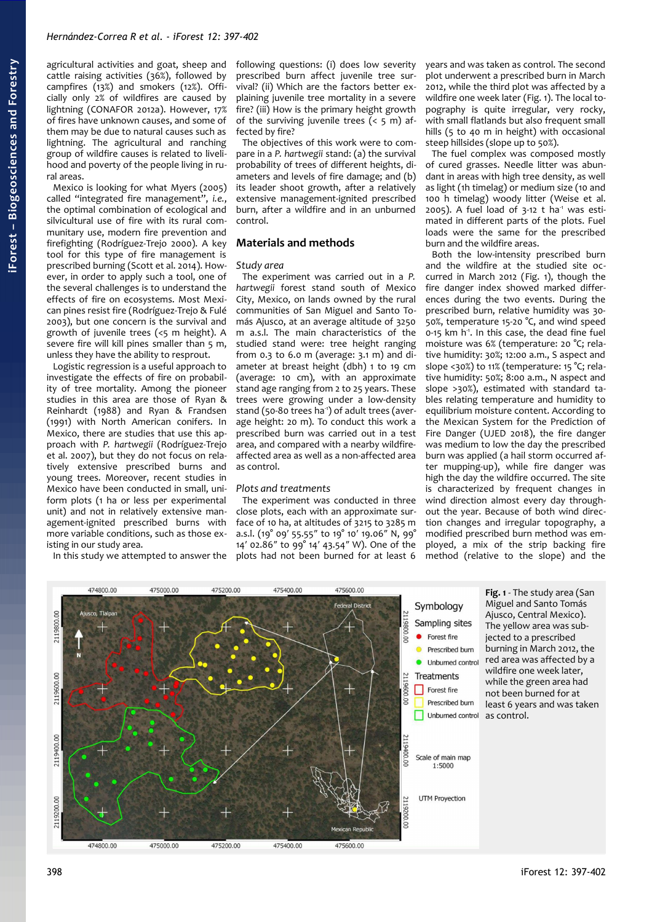agricultural activities and goat, sheep and cattle raising activities (36%), followed by campfires (13%) and smokers (12%). Officially only 2% of wildfires are caused by lightning (CONAFOR 2012a). However, 17% of fires have unknown causes, and some of them may be due to natural causes such as lightning. The agricultural and ranching group of wildfire causes is related to livelihood and poverty of the people living in rural areas.

Mexico is looking for what Myers (2005) called "integrated fire management", *i.e.*, the optimal combination of ecological and silvicultural use of fire with its rural communitary use, modern fire prevention and firefighting (Rodríguez-Trejo 2000). A key tool for this type of fire management is prescribed burning (Scott et al. 2014). However, in order to apply such a tool, one of the several challenges is to understand the effects of fire on ecosystems. Most Mexican pines resist fire (Rodríguez-Trejo & Fulé 2003), but one concern is the survival and growth of juvenile trees (<5 m height). A severe fire will kill pines smaller than 5 m, unless they have the ability to resprout.

Logistic regression is a useful approach to investigate the effects of fire on probability of tree mortality. Among the pioneer studies in this area are those of Ryan & Reinhardt (1988) and Ryan & Frandsen (1991) with North American conifers. In Mexico, there are studies that use this approach with *P. hartwegii* (Rodríguez-Trejo et al. 2007), but they do not focus on relatively extensive prescribed burns and young trees. Moreover, recent studies in Mexico have been conducted in small, uniform plots (1 ha or less per experimental unit) and not in relatively extensive management-ignited prescribed burns with more variable conditions, such as those existing in our study area.

In this study we attempted to answer the

following questions: (i) does low severity prescribed burn affect juvenile tree survival? (ii) Which are the factors better explaining juvenile tree mortality in a severe fire? (iii) How is the primary height growth of the surviving juvenile trees  $( < 5 \text{ m})$  affected by fire?

The objectives of this work were to compare in a *P. hartwegii* stand: (a) the survival probability of trees of different heights, diameters and levels of fire damage; and (b) its leader shoot growth, after a relatively extensive management-ignited prescribed burn, after a wildfire and in an unburned control.

#### **Materials and methods**

#### *Study area*

The experiment was carried out in a *P. hartwegii* forest stand south of Mexico City, Mexico, on lands owned by the rural communities of San Miguel and Santo Tomás Ajusco, at an average altitude of 3250 m a.s.l. The main characteristics of the studied stand were: tree height ranging from 0.3 to 6.0 m (average: 3.1 m) and diameter at breast height (dbh) 1 to 19 cm (average: 10 cm), with an approximate stand age ranging from 2 to 25 years. These trees were growing under a low-density stand (50-80 trees ha<sup>-1</sup>) of adult trees (average height: 20 m). To conduct this work a prescribed burn was carried out in a test area, and compared with a nearby wildfireaffected area as well as a non-affected area as control.

#### *Plots and treatments*

<span id="page-1-0"></span>The experiment was conducted in three close plots, each with an approximate surface of 10 ha, at altitudes of 3215 to 3285 m a.s.l. (19° 09′ 55.55″ to 19° 10′ 19.06″ N, 99° 14′ 02.86″ to 99° 14′ 43.54″ W). One of the plots had not been burned for at least 6 years and was taken as control. The second plot underwent a prescribed burn in March 2012, while the third plot was affected by a wildfire one week later [\(Fig. 1\)](#page-1-0). The local topography is quite irregular, very rocky, with small flatlands but also frequent small hills (5 to 40 m in height) with occasional steep hillsides (slope up to 50%).

The fuel complex was composed mostly of cured grasses. Needle litter was abundant in areas with high tree density, as well as light (1h timelag) or medium size (10 and 100 h timelag) woody litter (Weise et al. 2005). A fuel load of  $3-12$  t ha<sup>1</sup> was estimated in different parts of the plots. Fuel loads were the same for the prescribed burn and the wildfire areas.

Both the low-intensity prescribed burn and the wildfire at the studied site occurred in March 2012 [\(Fig. 1\)](#page-1-0), though the fire danger index showed marked differences during the two events. During the prescribed burn, relative humidity was 30- 50%, temperature 15-20 °C, and wind speed  $0-15$  km h<sup>-1</sup>. In this case, the dead fine fuel moisture was 6% (temperature: 20 °C; relative humidity: 30%; 12:00 a.m., S aspect and slope <30%) to 11% (temperature: 15 °C; relative humidity: 50%; 8:00 a.m., N aspect and slope >30%), estimated with standard tables relating temperature and humidity to equilibrium moisture content. According to the Mexican System for the Prediction of Fire Danger (UJED 2018), the fire danger was medium to low the day the prescribed burn was applied (a hail storm occurred after mupping-up), while fire danger was high the day the wildfire occurred. The site is characterized by frequent changes in wind direction almost every day throughout the year. Because of both wind direction changes and irregular topography, a modified prescribed burn method was employed, a mix of the strip backing fire method (relative to the slope) and the

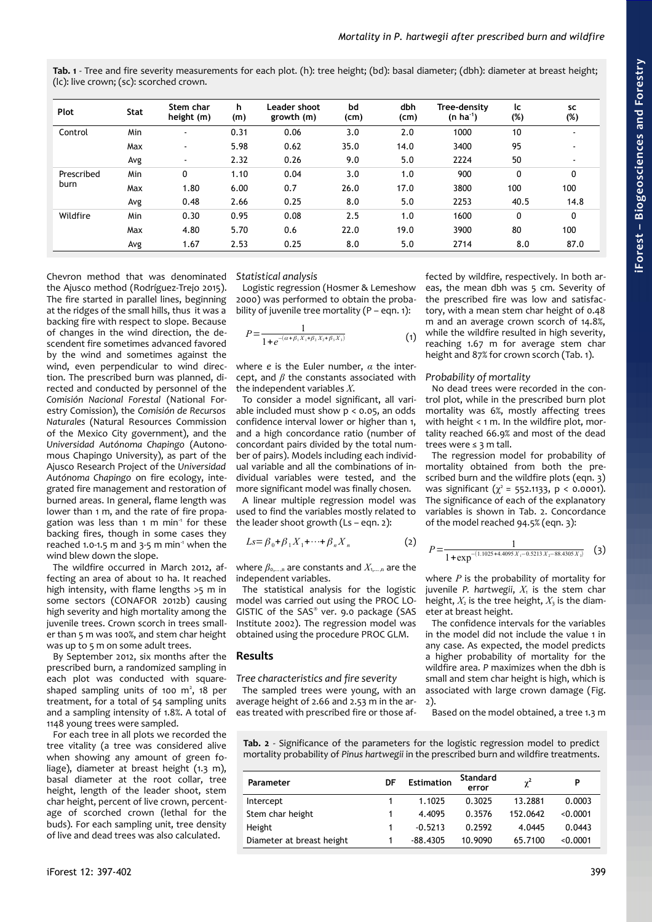| Plot               | <b>Stat</b> | Stem char<br>height (m) | h.<br>(m) | Leader shoot<br>growth (m) | bd<br>(cm) | dbh<br>(cm) | Tree-density<br>$(n ha^{-1})$ | lc<br>(%)   | <b>SC</b><br>(%)         |
|--------------------|-------------|-------------------------|-----------|----------------------------|------------|-------------|-------------------------------|-------------|--------------------------|
| Control            | <b>Min</b>  | $\blacksquare$          | 0.31      | 0.06                       | 3.0        | 2.0         | 1000                          | 10          | $\blacksquare$           |
|                    | Max         | $\blacksquare$          | 5.98      | 0.62                       | 35.0       | 14.0        | 3400                          | 95          | $\overline{\phantom{a}}$ |
|                    | Avg         | $\sim$                  | 2.32      | 0.26                       | 9.0        | 5.0         | 2224                          | 50          | $\blacksquare$           |
| Prescribed<br>burn | <b>Min</b>  | 0                       | 1.10      | 0.04                       | 3.0        | 1.0         | 900                           | $\mathbf 0$ | 0                        |
|                    | Max         | 1.80                    | 6.00      | 0.7                        | 26.0       | 17.0        | 3800                          | 100         | 100                      |
|                    | Avg         | 0.48                    | 2.66      | 0.25                       | 8.0        | 5.0         | 2253                          | 40.5        | 14.8                     |
| Wildfire           | Min         | 0.30                    | 0.95      | 0.08                       | 2.5        | 1.0         | 1600                          | 0           | 0                        |
|                    | Max         | 4.80                    | 5.70      | 0.6                        | 22.0       | 19.0        | 3900                          | 80          | 100                      |
|                    | Avg         | 1.67                    | 2.53      | 0.25                       | 8.0        | 5.0         | 2714                          | 8.0         | 87.0                     |

<span id="page-2-1"></span>**Tab. 1** - Tree and fire severity measurements for each plot. (h): tree height; (bd): basal diameter; (dbh): diameter at breast height; (lc): live crown; (sc): scorched crown.

Chevron method that was denominated the Ajusco method (Rodríguez-Trejo 2015). The fire started in parallel lines, beginning at the ridges of the small hills, thus it was a backing fire with respect to slope. Because of changes in the wind direction, the descendent fire sometimes advanced favored by the wind and sometimes against the wind, even perpendicular to wind direction. The prescribed burn was planned, directed and conducted by personnel of the *Comisión Nacional Forestal* (National Forestry Comission), the *Comisión de Recursos Naturales* (Natural Resources Commission of the Mexico City government), and the *Universidad Autónoma Chapingo* (Autonomous Chapingo University), as part of the Ajusco Research Project of the *Universidad Autónoma Chapingo* on fire ecology, integrated fire management and restoration of burned areas. In general, flame length was lower than 1 m, and the rate of fire propagation was less than 1 m min<sup>1</sup> for these backing fires, though in some cases they reached 1.0-1.5 m and 3-5 m min<sup>-1</sup> when the wind blew down the slope.

The wildfire occurred in March 2012, affecting an area of about 10 ha. It reached high intensity, with flame lengths >5 m in some sectors (CONAFOR 2012b) causing high severity and high mortality among the juvenile trees. Crown scorch in trees smaller than 5 m was 100%, and stem char height was up to 5 m on some adult trees.

By September 2012, six months after the prescribed burn, a randomized sampling in each plot was conducted with squareshaped sampling units of 100  $m^2$ , 18 per treatment, for a total of 54 sampling units and a sampling intensity of 1.8%. A total of 1148 young trees were sampled.

For each tree in all plots we recorded the tree vitality (a tree was considered alive when showing any amount of green foliage), diameter at breast height (1.3 m), basal diameter at the root collar, tree height, length of the leader shoot, stem char height, percent of live crown, percentage of scorched crown (lethal for the buds). For each sampling unit, tree density of live and dead trees was also calculated.

#### *Statistical analysis*

Logistic regression (Hosmer & Lemeshow 2000) was performed to obtain the probability of juvenile tree mortality ( $P - eqn$ . 1):

$$
P = \frac{1}{1 + e^{-(\alpha + \beta_1 X_1 + \beta_2 X_2 + \beta_3 X_3)}}
$$
(1)

where *e* is the Euler number, *α* the intercept, and *β* the constants associated with the independent variables *X*.

To consider a model significant, all variable included must show  $p < 0.05$ , an odds confidence interval lower or higher than 1, and a high concordance ratio (number of concordant pairs divided by the total number of pairs). Models including each individual variable and all the combinations of individual variables were tested, and the more significant model was finally chosen.

A linear multiple regression model was used to find the variables mostly related to the leader shoot growth  $(Ls - ean. 2)$ :

$$
Ls = \beta_0 + \beta_1 X_1 + \dots + \beta_n X_n \tag{2}
$$

where  $\beta_{0,\dots,n}$  are constants and  $X_{1,\dots,n}$  are the independent variables.

The statistical analysis for the logistic model was carried out using the PROC LO-GISTIC of the SAS® ver. 9.0 package (SAS Institute 2002). The regression model was obtained using the procedure PROC GLM.

#### **Results**

*Tree characteristics and fire severity*

The sampled trees were young, with an average height of 2.66 and 2.53 m in the areas treated with prescribed fire or those af-

fected by wildfire, respectively. In both areas, the mean dbh was 5 cm. Severity of the prescribed fire was low and satisfactory, with a mean stem char height of 0.48 m and an average crown scorch of 14.8%, while the wildfire resulted in high severity, reaching 1.67 m for average stem char height and 87% for crown scorch [\(Tab. 1\)](#page-2-1).

#### *Probability of mortality*

No dead trees were recorded in the control plot, while in the prescribed burn plot mortality was 6%, mostly affecting trees with height < 1 m. In the wildfire plot, mortality reached 66.9% and most of the dead trees were ≤ 3 m tall.

The regression model for probability of mortality obtained from both the prescribed burn and the wildfire plots (eqn. 3) was significant  $(\chi^2 = 552.1133, p < 0.0001)$ . The significance of each of the explanatory variables is shown in [Tab. 2.](#page-2-0) Concordance of the model reached 94.5% (eqn. 3):

$$
P = \frac{1}{1 + \exp^{-\left(1.1025 + 4.4095 X_1 - 0.5213 X_2 - 88.4305 X_3\right)}}\tag{3}
$$

where *P* is the probability of mortality for juvenile P. hartwegii,  $X_1$  is the stem char height,  $X_2$  is the tree height,  $X_3$  is the diameter at breast height.

The confidence intervals for the variables in the model did not include the value 1 in any case. As expected, the model predicts a higher probability of mortality for the wildfire area. *P* maximizes when the dbh is small and stem char height is high, which is associated with large crown damage [\(Fig.](#page-3-0) [2\)](#page-3-0).

Based on the model obtained, a tree 1.3 m

<span id="page-2-0"></span>**Tab. 2** - Significance of the parameters for the logistic regression model to predict mortality probability of *Pinus hartwegii* in the prescribed burn and wildfire treatments.

| Parameter                 | DF | <b>Estimation</b> | Standard<br>error | $\gamma^2$ | P        |
|---------------------------|----|-------------------|-------------------|------------|----------|
| Intercept                 |    | 1.1025            | 0.3025            | 13.2881    | 0.0003   |
| Stem char height          |    | 4.4095            | 0.3576            | 152.0642   | < 0.0001 |
| Height                    |    | $-0.5213$         | 0.2592            | 4.0445     | 0.0443   |
| Diameter at breast height |    | -88.4305          | 10.9090           | 65.7100    | < 0.0001 |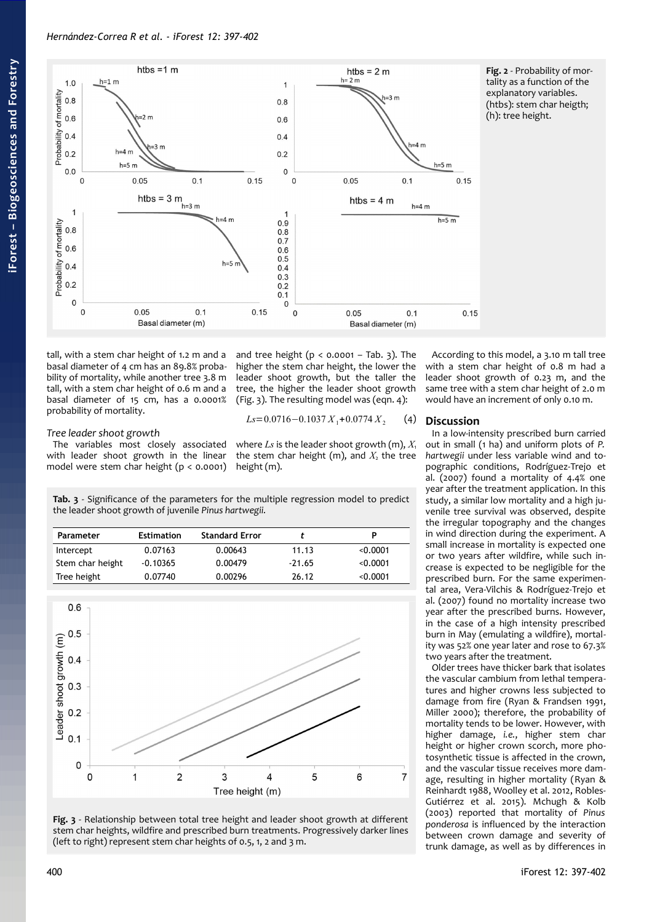

<span id="page-3-0"></span>**Fig. 2** - Probability of mortality as a function of the explanatory variables. (htbs): stem char heigth; (h): tree height.

tall, with a stem char height of 1.2 m and a basal diameter of 4 cm has an 89.8% probability of mortality, while another tree 3.8 m tall, with a stem char height of 0.6 m and a basal diameter of 15 cm, has a 0.0001% probability of mortality.

### *Tree leader shoot growth*

The variables most closely associated with leader shoot growth in the linear model were stem char height (p < 0.0001)

and tree height ( $p < 0.0001 - Tab.$  3). The higher the stem char height, the lower the leader shoot growth, but the taller the tree, the higher the leader shoot growth [\(Fig. 3\)](#page-3-1). The resulting model was (eqn. 4):

$$
Ls = 0.0716 - 0.1037 X_1 + 0.0774 X_2 \tag{4}
$$

where  $Ls$  is the leader shoot growth (m),  $X_1$ the stem char height (m), and  $X_2$  the tree height (m).

<span id="page-3-2"></span>**Tab. 3** - Significance of the parameters for the multiple regression model to predict the leader shoot growth of juvenile *Pinus hartwegii.*

| Parameter        | <b>Estimation</b> | <b>Standard Error</b> |          |          |
|------------------|-------------------|-----------------------|----------|----------|
| Intercept        | 0.07163           | 0.00643               | 11.13    | 0.0001   |
| Stem char height | $-0.10365$        | 0.00479               | $-21.65$ | < 0.0001 |
| Tree height      | 0.07740           | 0.00296               | 26.12    | < 0.0001 |



<span id="page-3-1"></span>**Fig. 3** - Relationship between total tree height and leader shoot growth at different stem char heights, wildfire and prescribed burn treatments. Progressively darker lines (left to right) represent stem char heights of 0.5, 1, 2 and 3 m.

According to this model, a 3.10 m tall tree with a stem char height of 0.8 m had a leader shoot growth of 0.23 m, and the same tree with a stem char height of 2.0 m would have an increment of only 0.10 m.

### **Discussion**

In a low-intensity prescribed burn carried out in small (1 ha) and uniform plots of *P. hartwegii* under less variable wind and topographic conditions, Rodríguez-Trejo et al. (2007) found a mortality of 4.4% one year after the treatment application. In this study, a similar low mortality and a high juvenile tree survival was observed, despite the irregular topography and the changes in wind direction during the experiment. A small increase in mortality is expected one or two years after wildfire, while such increase is expected to be negligible for the prescribed burn. For the same experimental area, Vera-Vilchis & Rodríguez-Trejo et al. (2007) found no mortality increase two year after the prescribed burns. However, in the case of a high intensity prescribed burn in May (emulating a wildfire), mortality was 52% one year later and rose to 67.3% two years after the treatment.

Older trees have thicker bark that isolates the vascular cambium from lethal temperatures and higher crowns less subjected to damage from fire (Ryan & Frandsen 1991, Miller 2000); therefore, the probability of mortality tends to be lower. However, with higher damage, *i.e.*, higher stem char height or higher crown scorch, more photosynthetic tissue is affected in the crown, and the vascular tissue receives more damage, resulting in higher mortality (Ryan & Reinhardt 1988, Woolley et al. 2012, Robles-Gutiérrez et al. 2015). Mchugh & Kolb (2003) reported that mortality of *Pinus ponderosa* is influenced by the interaction between crown damage and severity of trunk damage, as well as by differences in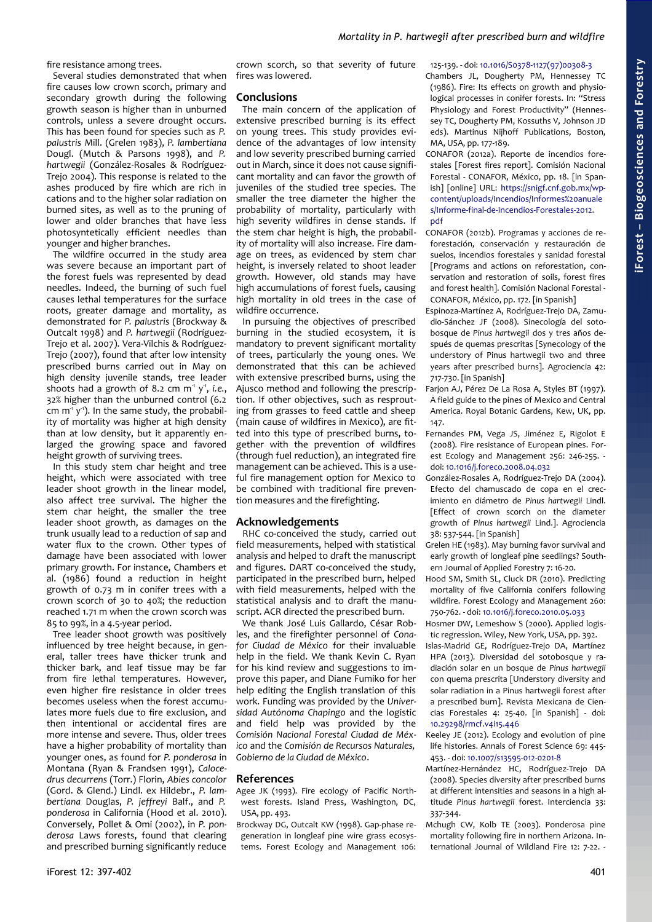fire resistance among trees.

Several studies demonstrated that when fire causes low crown scorch, primary and secondary growth during the following growth season is higher than in unburned controls, unless a severe drought occurs. This has been found for species such as *P. palustris* Mill. (Grelen 1983), *P. lambertiana* Dougl. (Mutch & Parsons 1998), and *P. hartwegii* (González-Rosales & Rodríguez-Trejo 2004). This response is related to the ashes produced by fire which are rich in cations and to the higher solar radiation on burned sites, as well as to the pruning of lower and older branches that have less photosyntetically efficient needles than younger and higher branches.

The wildfire occurred in the study area was severe because an important part of the forest fuels was represented by dead needles. Indeed, the burning of such fuel causes lethal temperatures for the surface roots, greater damage and mortality, as demonstrated for *P. palustris* (Brockway & Outcalt 1998) and *P. hartwegii* (Rodríguez-Trejo et al. 2007). Vera-Vilchis & Rodríguez-Trejo (2007), found that after low intensity prescribed burns carried out in May on high density juvenile stands, tree leader shoots had a growth of 8.2 cm m<sup>1</sup> y<sup>1</sup>, *i.e.*, 32% higher than the unburned control (6.2 cm  $m<sup>-1</sup> y<sup>-1</sup>$ ). In the same study, the probability of mortality was higher at high density than at low density, but it apparently enlarged the growing space and favored height growth of surviving trees.

In this study stem char height and tree height, which were associated with tree leader shoot growth in the linear model, also affect tree survival. The higher the stem char height, the smaller the tree leader shoot growth, as damages on the trunk usually lead to a reduction of sap and water flux to the crown. Other types of damage have been associated with lower primary growth. For instance, Chambers et al. (1986) found a reduction in height growth of 0.73 m in conifer trees with a crown scorch of 30 to 40%; the reduction reached 1.71 m when the crown scorch was 85 to 99%, in a 4.5-year period.

Tree leader shoot growth was positively influenced by tree height because, in general, taller trees have thicker trunk and thicker bark, and leaf tissue may be far from fire lethal temperatures. However, even higher fire resistance in older trees becomes useless when the forest accumulates more fuels due to fire exclusion, and then intentional or accidental fires are more intense and severe. Thus, older trees have a higher probability of mortality than younger ones, as found for *P. ponderosa* in Montana (Ryan & Frandsen 1991), *Calocedrus decurrens* (Torr.) Florin, *Abies concolor* (Gord. & Glend.) Lindl. ex Hildebr., *P. lambertiana* Douglas, *P. jeffreyi* Balf., and *P. ponderosa* in California (Hood et al. 2010). Conversely, Pollet & Omi (2002), in *P. ponderosa* Laws forests, found that clearing and prescribed burning significantly reduce

crown scorch, so that severity of future fires was lowered.

## **Conclusions**

The main concern of the application of extensive prescribed burning is its effect on young trees. This study provides evidence of the advantages of low intensity and low severity prescribed burning carried out in March, since it does not cause significant mortality and can favor the growth of juveniles of the studied tree species. The smaller the tree diameter the higher the probability of mortality, particularly with high severity wildfires in dense stands. If the stem char height is high, the probability of mortality will also increase. Fire damage on trees, as evidenced by stem char height, is inversely related to shoot leader growth. However, old stands may have high accumulations of forest fuels, causing high mortality in old trees in the case of wildfire occurrence.

In pursuing the objectives of prescribed burning in the studied ecosystem, it is mandatory to prevent significant mortality of trees, particularly the young ones. We demonstrated that this can be achieved with extensive prescribed burns, using the Ajusco method and following the prescription. If other objectives, such as resprouting from grasses to feed cattle and sheep (main cause of wildfires in Mexico), are fitted into this type of prescribed burns, together with the prevention of wildfires (through fuel reduction), an integrated fire management can be achieved. This is a useful fire management option for Mexico to be combined with traditional fire prevention measures and the firefighting.

# **Acknowledgements**

RHC co-conceived the study, carried out field measurements, helped with statistical analysis and helped to draft the manuscript and figures. DART co-conceived the study, participated in the prescribed burn, helped with field measurements, helped with the statistical analysis and to draft the manuscript. ACR directed the prescribed burn.

We thank José Luis Gallardo, César Robles, and the firefighter personnel of *Conafor Ciudad de México* for their invaluable help in the field. We thank Kevin C. Ryan for his kind review and suggestions to improve this paper, and Diane Fumiko for her help editing the English translation of this work. Funding was provided by the *Universidad Autónoma Chapingo* and the logistic and field help was provided by the *Comisión Nacional Forestal Ciudad de México* and the *Comisión de Recursos Naturales, Gobierno de la Ciudad de México*.

# **References**

- Agee JK (1993). Fire ecology of Pacific Northwest forests. Island Press, Washington, DC, USA, pp. 493.
- Brockway DG, Outcalt KW (1998). Gap-phase regeneration in longleaf pine wire grass ecosystems. Forest Ecology and Management 106:

125-139. - doi: [10.1016/S0378-1127\(97\)00308-3](https://doi.org/10.1016/S0378-1127(97)00308-3)

Chambers JL, Dougherty PM, Hennessey TC (1986). Fire: Its effects on growth and physiological processes in conifer forests. In: "Stress Physiology and Forest Productivity" (Hennessey TC, Dougherty PM, Kossuths V, Johnson JD eds). Martinus Nijhoff Publications, Boston, MA, USA, pp. 177-189.

- CONAFOR (2012a). Reporte de incendios forestales [Forest fires report]. Comisión Nacional Forestal - CONAFOR, México, pp. 18. [in Spanish] [online] URL: [https://snigf.cnf.gob.mx/wp](http://snigf.cnf.gob.mx/wp-content/uploads/Incendios/Informes%20anuales/Informe-final-de-Incendios-Forestales-2012.pdf)[content/uploads/Incendios/Informes%20anuale](http://snigf.cnf.gob.mx/wp-content/uploads/Incendios/Informes%20anuales/Informe-final-de-Incendios-Forestales-2012.pdf) s/Informe-final-de-Incendios-Forestales-2012. [pdf](http://snigf.cnf.gob.mx/wp-content/uploads/Incendios/Informes%20anuales/Informe-final-de-Incendios-Forestales-2012.pdf)
- CONAFOR (2012b). Programas y acciones de reforestación, conservación y restauración de suelos, incendios forestales y sanidad forestal [Programs and actions on reforestation, conservation and restoration of soils, forest fires and forest health]. Comisión Nacional Forestal - CONAFOR, México, pp. 172. [in Spanish]
- Espinoza-Martínez A, Rodríguez-Trejo DA, Zamudio-Sánchez JF (2008). Sinecología del sotobosque de *Pinus hartwegii* dos y tres años después de quemas prescritas [Synecology of the understory of Pinus hartwegii two and three years after prescribed burns]. Agrociencia 42: 717-730. [in Spanish]
- Farjon AJ, Pérez De La Rosa A, Styles BT (1997). A field guide to the pines of Mexico and Central America. Royal Botanic Gardens, Kew, UK, pp. 147.
- Fernandes PM, Vega JS, Jiménez E, Rigolot E (2008). Fire resistance of European pines. Forest Ecology and Management 256: 246-255. doi: [10.1016/j.foreco.2008.04.032](https://doi.org/10.1016/j.foreco.2008.04.032)
- González-Rosales A, Rodríguez-Trejo DA (2004). Efecto del chamuscado de copa en el crecimiento en diámetro de *Pinus hartwegii* Lindl. [Effect of crown scorch on the diameter growth of *Pinus hartwegii* Lind.]. Agrociencia 38: 537-544. [in Spanish]
- Grelen HE (1983). May burning favor survival and early growth of longleaf pine seedlings? Southern Journal of Applied Forestry 7: 16-20.
- Hood SM, Smith SL, Cluck DR (2010). Predicting mortality of five California conifers following wildfire. Forest Ecology and Management 260: 750-762. - doi: [10.1016/j.foreco.2010.05.033](https://doi.org/10.1016/j.foreco.2010.05.033)
- Hosmer DW, Lemeshow S (2000). Applied logistic regression. Wiley, New York, USA, pp. 392.
- Islas-Madrid GE, Rodríguez-Trejo DA, Martínez HPA (2013). Diversidad del sotobosque y radiación solar en un bosque de *Pinus hartwegii* con quema prescrita [Understory diversity and solar radiation in a Pinus hartwegii forest after a prescribed burn]. Revista Mexicana de Ciencias Forestales 4: 25-40. [in Spanish] - doi: [10.29298/rmcf.v4i15.446](https://doi.org/10.29298/rmcf.v4i15.446)
- Keeley JE (2012). Ecology and evolution of pine life histories. Annals of Forest Science 69: 445- 453. - doi: [10.1007/s13595-012-0201-8](https://doi.org/10.1007/s13595-012-0201-8)
- Martínez-Hernández HC, Rodríguez-Trejo DA (2008). Species diversity after prescribed burns at different intensities and seasons in a high altitude *Pinus hartwegii* forest. Interciencia 33: 337-344.
- Mchugh CW, Kolb TE (2003). Ponderosa pine mortality following fire in northern Arizona. International Journal of Wildland Fire 12: 7-22. -